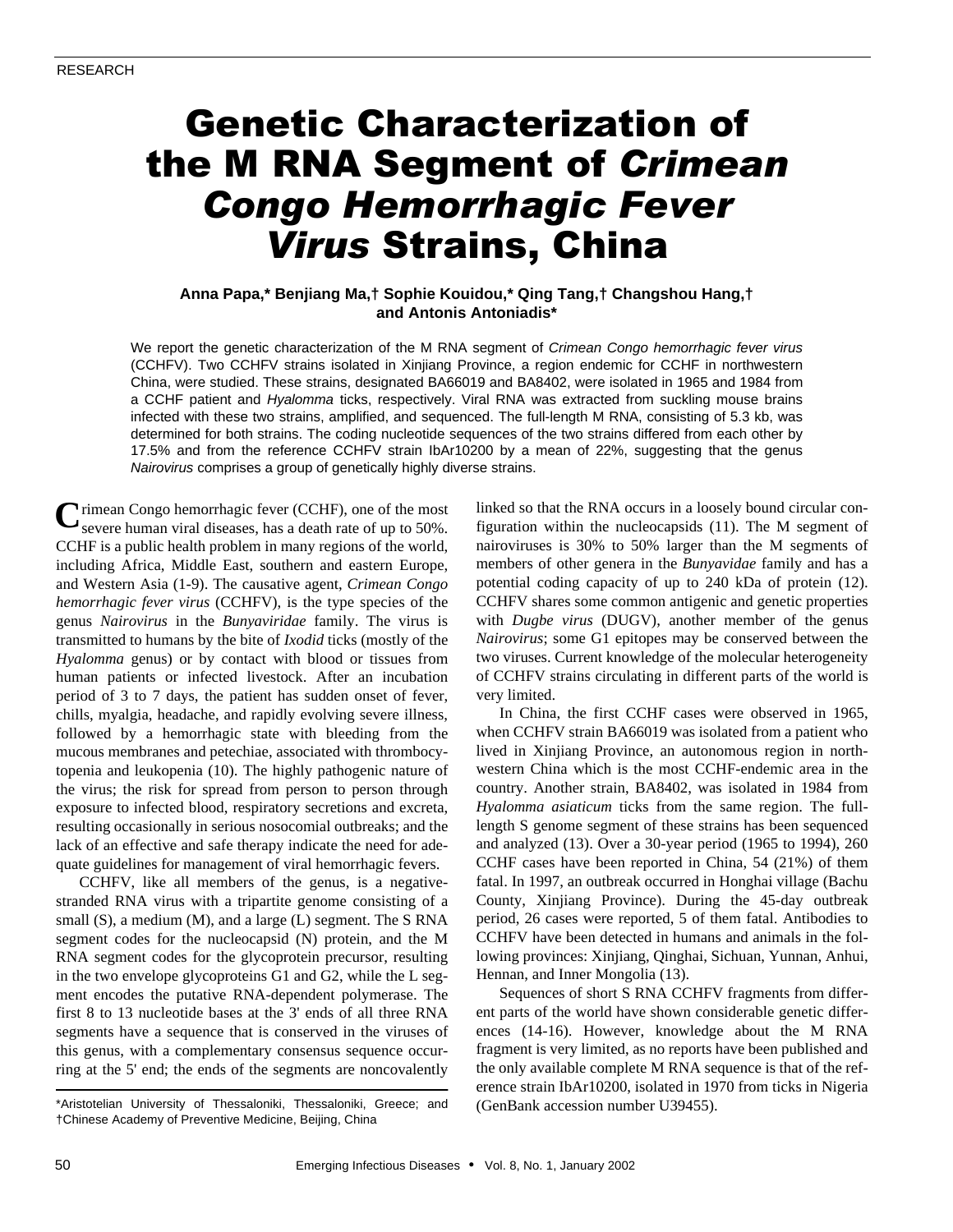# Genetic Characterization of the M RNA Segment of *Crimean Congo Hemorrhagic Fever Virus* Strains, China

## **Anna Papa,\* Benjiang Ma,† Sophie Kouidou,\* Qing Tang,† Changshou Hang,† and Antonis Antoniadis\***

We report the genetic characterization of the M RNA segment of *Crimean Congo hemorrhagic fever virus* (CCHFV). Two CCHFV strains isolated in Xinjiang Province, a region endemic for CCHF in northwestern China, were studied. These strains, designated BA66019 and BA8402, were isolated in 1965 and 1984 from a CCHF patient and *Hyalomma* ticks, respectively. Viral RNA was extracted from suckling mouse brains infected with these two strains, amplified, and sequenced. The full-length M RNA, consisting of 5.3 kb, was determined for both strains. The coding nucleotide sequences of the two strains differed from each other by 17.5% and from the reference CCHFV strain IbAr10200 by a mean of 22%, suggesting that the genus *Nairovirus* comprises a group of genetically highly diverse strains.

**C** rimean Congo hemorrhagic fever (CCHF), one of the most severe human viral diseases, has a death rate of up to 50%. severe human viral diseases, has a death rate of up to 50%. CCHF is a public health problem in many regions of the world, including Africa, Middle East, southern and eastern Europe, and Western Asia (1-9). The causative agent, *Crimean Congo hemorrhagic fever virus* (CCHFV), is the type species of the genus *Nairovirus* in the *Bunyaviridae* family. The virus is transmitted to humans by the bite of *Ixodid* ticks (mostly of the *Hyalomma* genus) or by contact with blood or tissues from human patients or infected livestock. After an incubation period of 3 to 7 days, the patient has sudden onset of fever, chills, myalgia, headache, and rapidly evolving severe illness, followed by a hemorrhagic state with bleeding from the mucous membranes and petechiae, associated with thrombocytopenia and leukopenia (10). The highly pathogenic nature of the virus; the risk for spread from person to person through exposure to infected blood, respiratory secretions and excreta, resulting occasionally in serious nosocomial outbreaks; and the lack of an effective and safe therapy indicate the need for adequate guidelines for management of viral hemorrhagic fevers.

CCHFV, like all members of the genus, is a negativestranded RNA virus with a tripartite genome consisting of a small (S), a medium (M), and a large (L) segment. The S RNA segment codes for the nucleocapsid (N) protein, and the M RNA segment codes for the glycoprotein precursor, resulting in the two envelope glycoproteins G1 and G2, while the L segment encodes the putative RNA-dependent polymerase. The first 8 to 13 nucleotide bases at the 3' ends of all three RNA segments have a sequence that is conserved in the viruses of this genus, with a complementary consensus sequence occurring at the 5' end; the ends of the segments are noncovalently

linked so that the RNA occurs in a loosely bound circular configuration within the nucleocapsids (11). The M segment of nairoviruses is 30% to 50% larger than the M segments of members of other genera in the *Bunyavidae* family and has a potential coding capacity of up to 240 kDa of protein (12). CCHFV shares some common antigenic and genetic properties with *Dugbe virus* (DUGV), another member of the genus *Nairovirus*; some G1 epitopes may be conserved between the two viruses. Current knowledge of the molecular heterogeneity of CCHFV strains circulating in different parts of the world is very limited.

In China, the first CCHF cases were observed in 1965, when CCHFV strain BA66019 was isolated from a patient who lived in Xinjiang Province, an autonomous region in northwestern China which is the most CCHF-endemic area in the country. Another strain, BA8402, was isolated in 1984 from *Hyalomma asiaticum* ticks from the same region. The fulllength S genome segment of these strains has been sequenced and analyzed (13). Over a 30-year period (1965 to 1994), 260 CCHF cases have been reported in China, 54 (21%) of them fatal. In 1997, an outbreak occurred in Honghai village (Bachu County, Xinjiang Province). During the 45-day outbreak period, 26 cases were reported, 5 of them fatal. Antibodies to CCHFV have been detected in humans and animals in the following provinces: Xinjiang, Qinghai, Sichuan, Yunnan, Anhui, Hennan, and Inner Mongolia (13).

Sequences of short S RNA CCHFV fragments from different parts of the world have shown considerable genetic differences (14-16). However, knowledge about the M RNA fragment is very limited, as no reports have been published and the only available complete M RNA sequence is that of the reference strain IbAr10200, isolated in 1970 from ticks in Nigeria

<sup>\*</sup>Aristotelian University of Thessaloniki, Thessaloniki, Greece; and (GenBank accession number U39455). †Chinese Academy of Preventive Medicine, Beijing, China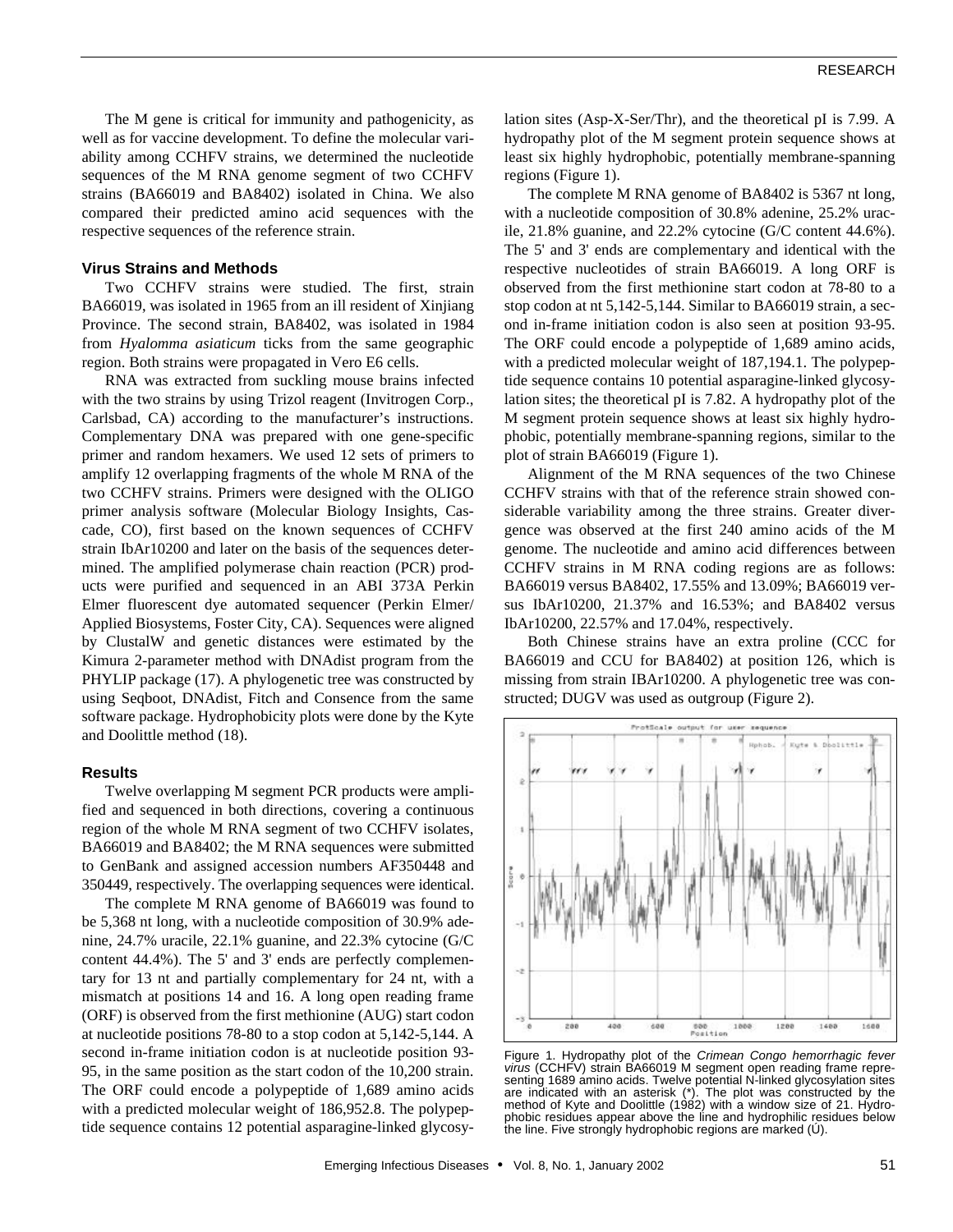The M gene is critical for immunity and pathogenicity, as well as for vaccine development. To define the molecular variability among CCHFV strains, we determined the nucleotide sequences of the M RNA genome segment of two CCHFV strains (BA66019 and BA8402) isolated in China. We also compared their predicted amino acid sequences with the respective sequences of the reference strain.

#### **Virus Strains and Methods**

Two CCHFV strains were studied. The first, strain BA66019, was isolated in 1965 from an ill resident of Xinjiang Province. The second strain, BA8402, was isolated in 1984 from *Hyalomma asiaticum* ticks from the same geographic region. Both strains were propagated in Vero E6 cells.

RNA was extracted from suckling mouse brains infected with the two strains by using Trizol reagent (Invitrogen Corp., Carlsbad, CA) according to the manufacturer's instructions. Complementary DNA was prepared with one gene-specific primer and random hexamers. We used 12 sets of primers to amplify 12 overlapping fragments of the whole M RNA of the two CCHFV strains. Primers were designed with the OLIGO primer analysis software (Molecular Biology Insights, Cascade, CO), first based on the known sequences of CCHFV strain IbAr10200 and later on the basis of the sequences determined. The amplified polymerase chain reaction (PCR) products were purified and sequenced in an ABI 373A Perkin Elmer fluorescent dye automated sequencer (Perkin Elmer/ Applied Biosystems, Foster City, CA). Sequences were aligned by ClustalW and genetic distances were estimated by the Kimura 2-parameter method with DNAdist program from the PHYLIP package (17). A phylogenetic tree was constructed by using Seqboot, DNAdist, Fitch and Consence from the same software package. Hydrophobicity plots were done by the Kyte and Doolittle method (18).

#### **Results**

Twelve overlapping M segment PCR products were amplified and sequenced in both directions, covering a continuous region of the whole M RNA segment of two CCHFV isolates, BA66019 and BA8402; the M RNA sequences were submitted to GenBank and assigned accession numbers AF350448 and 350449, respectively. The overlapping sequences were identical.

The complete M RNA genome of BA66019 was found to be 5,368 nt long, with a nucleotide composition of 30.9% adenine, 24.7% uracile, 22.1% guanine, and 22.3% cytocine (G/C content 44.4%). The 5' and 3' ends are perfectly complementary for 13 nt and partially complementary for 24 nt, with a mismatch at positions 14 and 16. A long open reading frame (ORF) is observed from the first methionine (AUG) start codon at nucleotide positions 78-80 to a stop codon at 5,142-5,144. A second in-frame initiation codon is at nucleotide position 93- 95, in the same position as the start codon of the 10,200 strain. The ORF could encode a polypeptide of 1,689 amino acids with a predicted molecular weight of 186,952.8. The polypeptide sequence contains 12 potential asparagine-linked glycosylation sites (Asp-X-Ser/Thr), and the theoretical pI is 7.99. A hydropathy plot of the M segment protein sequence shows at least six highly hydrophobic, potentially membrane-spanning regions (Figure 1).

The complete M RNA genome of BA8402 is 5367 nt long, with a nucleotide composition of 30.8% adenine, 25.2% uracile, 21.8% guanine, and 22.2% cytocine (G/C content 44.6%). The 5' and 3' ends are complementary and identical with the respective nucleotides of strain BA66019. A long ORF is observed from the first methionine start codon at 78-80 to a stop codon at nt 5,142-5,144. Similar to BA66019 strain, a second in-frame initiation codon is also seen at position 93-95. The ORF could encode a polypeptide of 1,689 amino acids, with a predicted molecular weight of 187,194.1. The polypeptide sequence contains 10 potential asparagine-linked glycosylation sites; the theoretical pI is 7.82. A hydropathy plot of the M segment protein sequence shows at least six highly hydrophobic, potentially membrane-spanning regions, similar to the plot of strain BA66019 (Figure 1).

Alignment of the M RNA sequences of the two Chinese CCHFV strains with that of the reference strain showed considerable variability among the three strains. Greater divergence was observed at the first 240 amino acids of the M genome. The nucleotide and amino acid differences between CCHFV strains in M RNA coding regions are as follows: BA66019 versus BA8402, 17.55% and 13.09%; BA66019 versus IbAr10200, 21.37% and 16.53%; and BA8402 versus IbAr10200, 22.57% and 17.04%, respectively.

Both Chinese strains have an extra proline (CCC for BA66019 and CCU for BA8402) at position 126, which is missing from strain IBAr10200. A phylogenetic tree was constructed; DUGV was used as outgroup (Figure 2).



Figure 1. Hydropathy plot of the *Crimean Congo hemorrhagic fever virus* (CCHFV) strain BA66019 M segment open reading frame representing 1689 amino acids. Twelve potential N-linked glycosylation sites are indicated with an asterisk (\*). The plot was constructed by the method of Kyte and Doolittle (1982) with a window size of 21. Hydrophobic residues appear above the line and hydrophilic residues below the line. Five strongly hydrophobic regions are marked (Ú).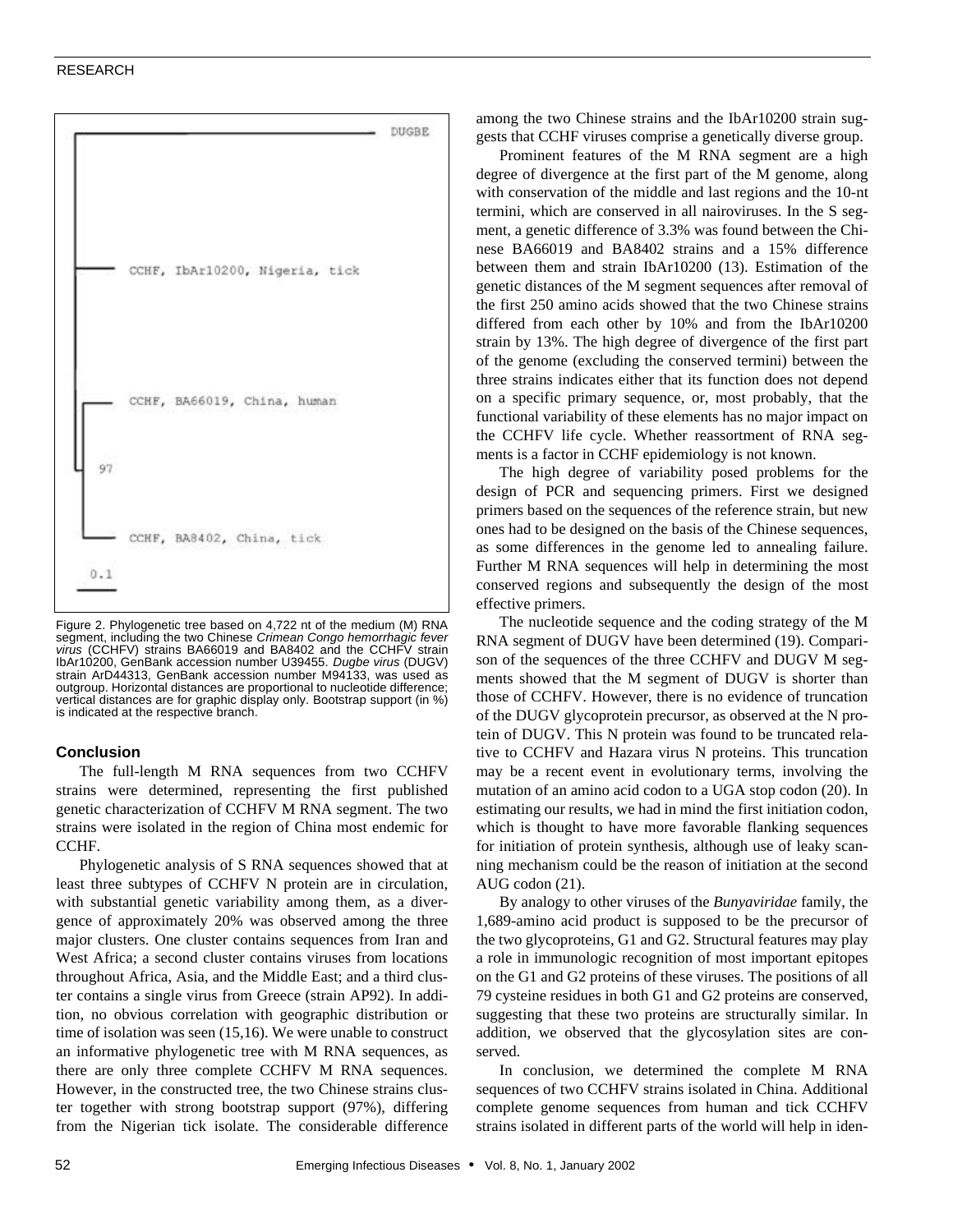#### RESEARCH



Figure 2. Phylogenetic tree based on 4,722 nt of the medium (M) RNA segment, including the two Chinese *Crimean Congo hemorrhagic fever virus* (CCHFV) strains BA66019 and BA8402 and the CCHFV strain IbAr10200, GenBank accession number U39455. *Dugbe virus* (DUGV) strain ArD44313, GenBank accession number M94133, was used as outgroup. Horizontal distances are proportional to nucleotide difference; vertical distances are for graphic display only. Bootstrap support (in %) is indicated at the respective branch.

### **Conclusion**

The full-length M RNA sequences from two CCHFV strains were determined, representing the first published genetic characterization of CCHFV M RNA segment. The two strains were isolated in the region of China most endemic for CCHF.

Phylogenetic analysis of S RNA sequences showed that at least three subtypes of CCHFV N protein are in circulation, with substantial genetic variability among them, as a divergence of approximately 20% was observed among the three major clusters. One cluster contains sequences from Iran and West Africa; a second cluster contains viruses from locations throughout Africa, Asia, and the Middle East; and a third cluster contains a single virus from Greece (strain AP92). In addition, no obvious correlation with geographic distribution or time of isolation was seen (15,16). We were unable to construct an informative phylogenetic tree with M RNA sequences, as there are only three complete CCHFV M RNA sequences. However, in the constructed tree, the two Chinese strains cluster together with strong bootstrap support (97%), differing from the Nigerian tick isolate. The considerable difference among the two Chinese strains and the IbAr10200 strain suggests that CCHF viruses comprise a genetically diverse group.

Prominent features of the M RNA segment are a high degree of divergence at the first part of the M genome, along with conservation of the middle and last regions and the 10-nt termini, which are conserved in all nairoviruses. In the S segment, a genetic difference of 3.3% was found between the Chinese BA66019 and BA8402 strains and a 15% difference between them and strain IbAr10200 (13). Estimation of the genetic distances of the M segment sequences after removal of the first 250 amino acids showed that the two Chinese strains differed from each other by 10% and from the IbAr10200 strain by 13%. The high degree of divergence of the first part of the genome (excluding the conserved termini) between the three strains indicates either that its function does not depend on a specific primary sequence, or, most probably, that the functional variability of these elements has no major impact on the CCHFV life cycle. Whether reassortment of RNA segments is a factor in CCHF epidemiology is not known.

The high degree of variability posed problems for the design of PCR and sequencing primers. First we designed primers based on the sequences of the reference strain, but new ones had to be designed on the basis of the Chinese sequences, as some differences in the genome led to annealing failure. Further M RNA sequences will help in determining the most conserved regions and subsequently the design of the most effective primers.

The nucleotide sequence and the coding strategy of the M RNA segment of DUGV have been determined (19). Comparison of the sequences of the three CCHFV and DUGV M segments showed that the M segment of DUGV is shorter than those of CCHFV. However, there is no evidence of truncation of the DUGV glycoprotein precursor, as observed at the N protein of DUGV. This N protein was found to be truncated relative to CCHFV and Hazara virus N proteins. This truncation may be a recent event in evolutionary terms, involving the mutation of an amino acid codon to a UGA stop codon (20). In estimating our results, we had in mind the first initiation codon, which is thought to have more favorable flanking sequences for initiation of protein synthesis, although use of leaky scanning mechanism could be the reason of initiation at the second AUG codon (21).

By analogy to other viruses of the *Bunyaviridae* family, the 1,689-amino acid product is supposed to be the precursor of the two glycoproteins, G1 and G2. Structural features may play a role in immunologic recognition of most important epitopes on the G1 and G2 proteins of these viruses. The positions of all 79 cysteine residues in both G1 and G2 proteins are conserved, suggesting that these two proteins are structurally similar. In addition, we observed that the glycosylation sites are conserved.

In conclusion, we determined the complete M RNA sequences of two CCHFV strains isolated in China. Additional complete genome sequences from human and tick CCHFV strains isolated in different parts of the world will help in iden-